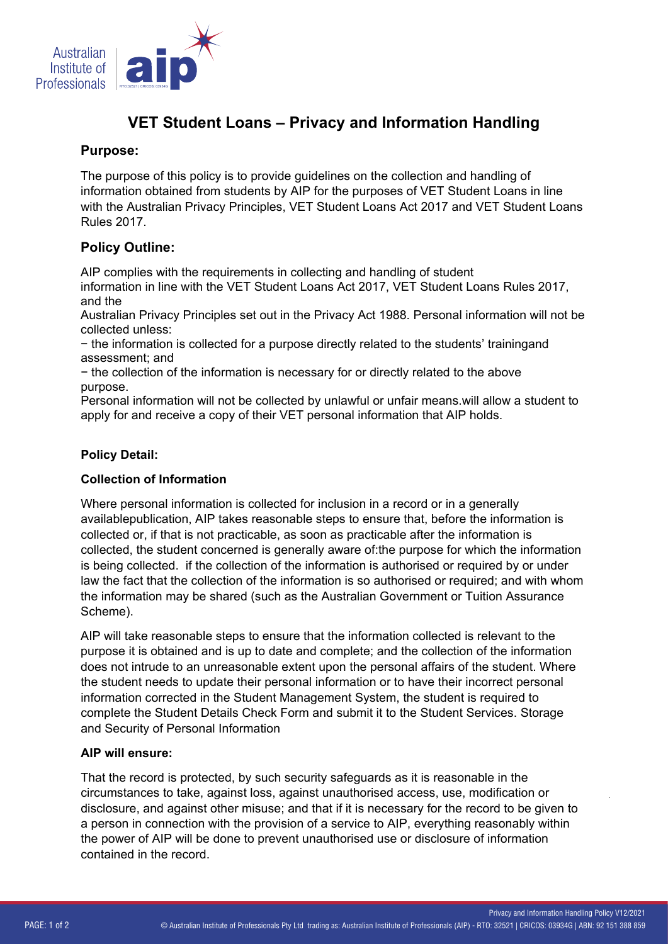

# **VET Student Loans – Privacy and Information Handling**

## **Purpose:**

The purpose of this policy is to provide guidelines on the collection and handling of information obtained from students by AIP for the purposes of VET Student Loans in line with the Australian Privacy Principles, VET Student Loans Act 2017 and VET Student Loans Rules 2017.

## **Policy Outline:**

AIP complies with the requirements in collecting and handling of student information in line with the VET Student Loans Act 2017, VET Student Loans Rules 2017, and the

Australian Privacy Principles set out in the Privacy Act 1988. Personal information will not be collected unless:

- the information is collected for a purpose directly related to the students' trainingand assessment; and

- the collection of the information is necessary for or directly related to the above purpose.

Personal information will not be collected by unlawful or unfair means.will allow a student to apply for and receive a copy of their VET personal information that AIP holds.

### **Policy Detail:**

#### **Collection of Information**

Where personal information is collected for inclusion in a record or in a generally availablepublication, AIP takes reasonable steps to ensure that, before the information is collected or, if that is not practicable, as soon as practicable after the information is collected, the student concerned is generally aware of:the purpose for which the information is being collected. if the collection of the information is authorised or required by or under law the fact that the collection of the information is so authorised or required; and with whom the information may be shared (such as the Australian Government or Tuition Assurance Scheme).

AIP will take reasonable steps to ensure that the information collected is relevant to the purpose it is obtained and is up to date and complete; and the collection of the information does not intrude to an unreasonable extent upon the personal affairs of the student. Where the student needs to update their personal information or to have their incorrect personal information corrected in the Student Management System, the student is required to complete the Student Details Check Form and submit it to the Student Services. Storage and Security of Personal Information

#### **AIP will ensure:**

That the record is protected, by such security safeguards as it is reasonable in the circumstances to take, against loss, against unauthorised access, use, modification or disclosure, and against other misuse; and that if it is necessary for the record to be given to a person in connection with the provision of a service to AIP, everything reasonably within the power of AIP will be done to prevent unauthorised use or disclosure of information contained in the record.